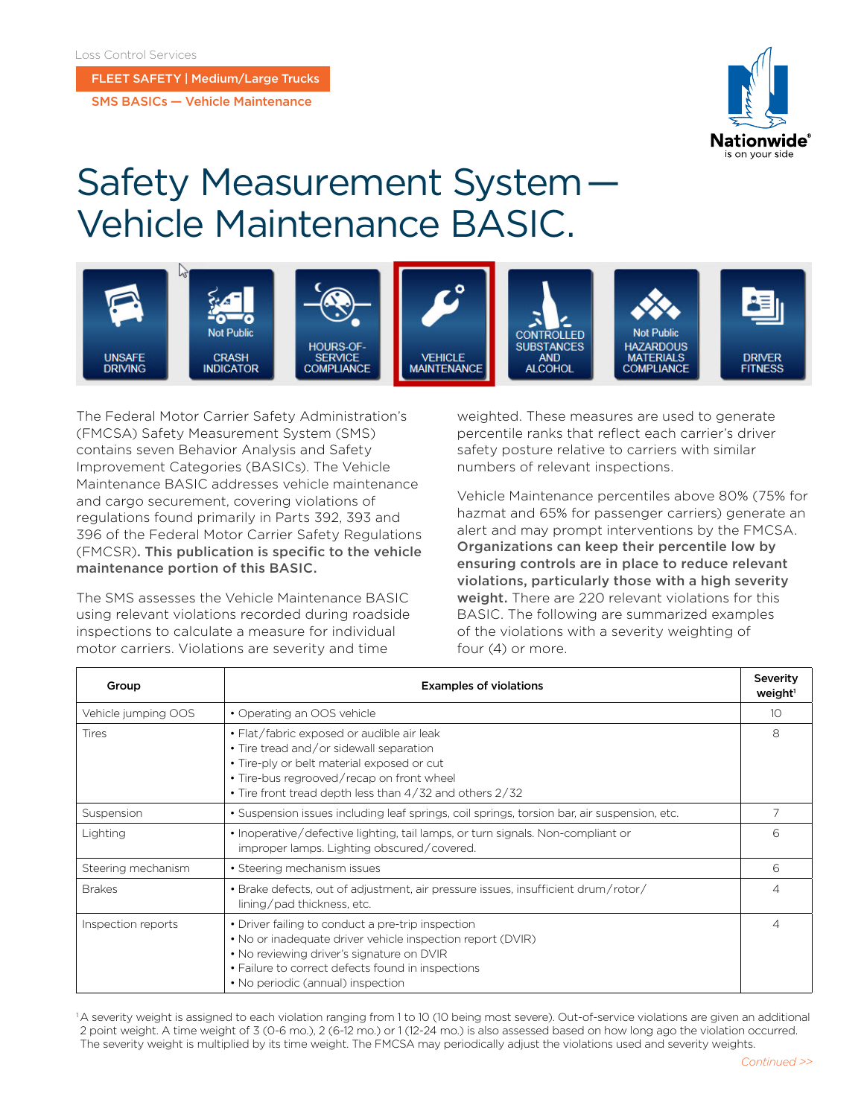FLEET SAFETY | Medium/Large Trucks

SMS BASICs — Vehicle Maintenance



## Safety Measurement System —  Vehicle Maintenance BASIC.



The Federal Motor Carrier Safety Administration's (FMCSA) Safety Measurement System (SMS) contains seven Behavior Analysis and Safety Improvement Categories (BASICs). The Vehicle Maintenance BASIC addresses vehicle maintenance and cargo securement, covering violations of regulations found primarily in Parts 392, 393 and 396 of the Federal Motor Carrier Safety Regulations (FMCSR). This publication is specific to the vehicle maintenance portion of this BASIC.

The SMS assesses the Vehicle Maintenance BASIC using relevant violations recorded during roadside inspections to calculate a measure for individual motor carriers. Violations are severity and time

weighted. These measures are used to generate percentile ranks that reflect each carrier's driver safety posture relative to carriers with similar numbers of relevant inspections.

Vehicle Maintenance percentiles above 80% (75% for hazmat and 65% for passenger carriers) generate an alert and may prompt interventions by the FMCSA. Organizations can keep their percentile low by ensuring controls are in place to reduce relevant violations, particularly those with a high severity weight. There are 220 relevant violations for this BASIC. The following are summarized examples of the violations with a severity weighting of four (4) or more.

| Group               | <b>Examples of violations</b>                                                                                                                                                                                                                          |                 |
|---------------------|--------------------------------------------------------------------------------------------------------------------------------------------------------------------------------------------------------------------------------------------------------|-----------------|
| Vehicle jumping OOS | • Operating an OOS vehicle                                                                                                                                                                                                                             | 10 <sup>2</sup> |
| <b>Tires</b>        | • Flat/fabric exposed or audible air leak<br>• Tire tread and/or sidewall separation<br>• Tire-ply or belt material exposed or cut<br>• Tire-bus regrooved/recap on front wheel<br>• Tire front tread depth less than 4/32 and others 2/32             | 8               |
| Suspension          | • Suspension issues including leaf springs, coil springs, torsion bar, air suspension, etc.                                                                                                                                                            |                 |
| Lighting            | • Inoperative/defective lighting, tail lamps, or turn signals. Non-compliant or<br>improper lamps. Lighting obscured/covered.                                                                                                                          | 6               |
| Steering mechanism  | • Steering mechanism issues                                                                                                                                                                                                                            | 6               |
| <b>Brakes</b>       | • Brake defects, out of adjustment, air pressure issues, insufficient drum/rotor/<br>lining/pad thickness, etc.                                                                                                                                        | 4               |
| Inspection reports  | • Driver failing to conduct a pre-trip inspection<br>• No or inadequate driver vehicle inspection report (DVIR)<br>• No reviewing driver's signature on DVIR<br>• Failure to correct defects found in inspections<br>• No periodic (annual) inspection | 4               |

<sup>1</sup>A severity weight is assigned to each violation ranging from 1 to 10 (10 being most severe). Out-of-service violations are given an additional 2 point weight. A time weight of 3 (0-6 mo.), 2 (6-12 mo.) or 1 (12-24 mo.) is also assessed based on how long ago the violation occurred. The severity weight is multiplied by its time weight. The FMCSA may periodically adjust the violations used and severity weights.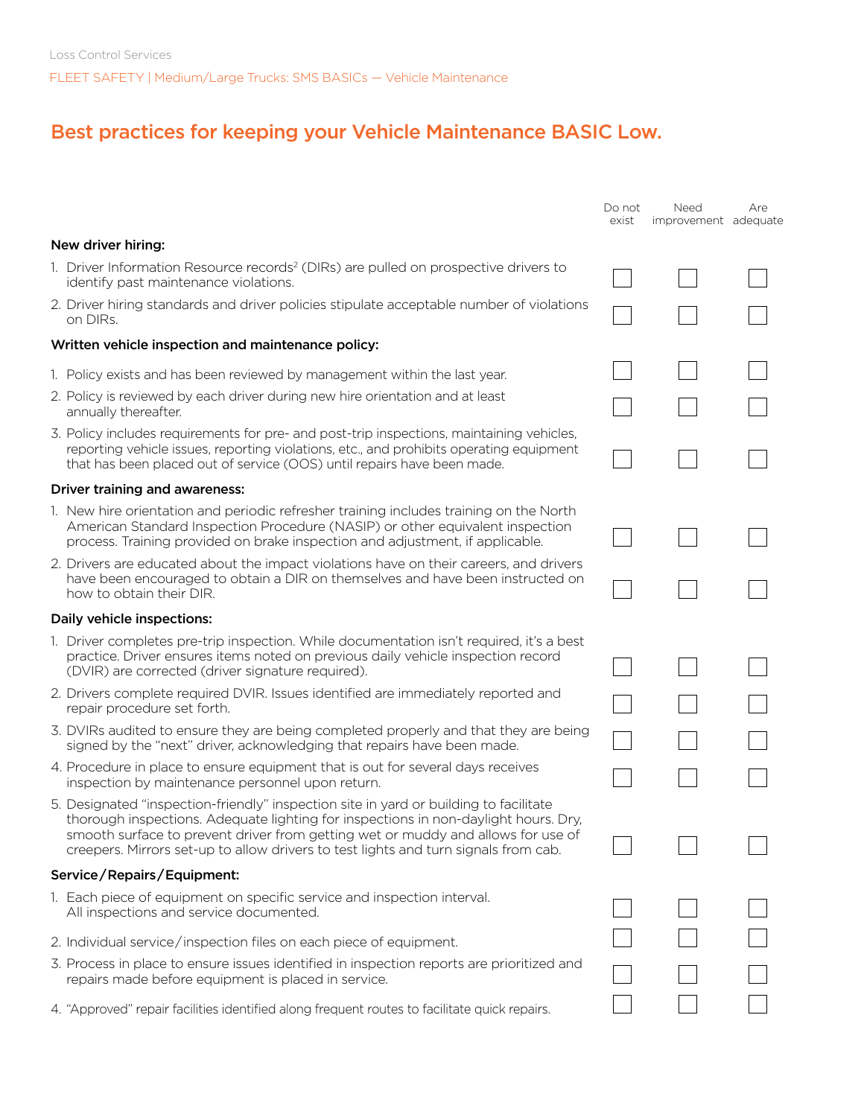## Best practices for keeping your Vehicle Maintenance BASIC Low.

|                                                    |                                                                                                                                                                                                                                                                                                                                                         | Do not<br>exist | Need<br>improvement adequate | Are |
|----------------------------------------------------|---------------------------------------------------------------------------------------------------------------------------------------------------------------------------------------------------------------------------------------------------------------------------------------------------------------------------------------------------------|-----------------|------------------------------|-----|
|                                                    | New driver hiring:                                                                                                                                                                                                                                                                                                                                      |                 |                              |     |
|                                                    | 1. Driver Information Resource records <sup>2</sup> (DIRs) are pulled on prospective drivers to<br>identify past maintenance violations.                                                                                                                                                                                                                |                 |                              |     |
|                                                    | 2. Driver hiring standards and driver policies stipulate acceptable number of violations<br>on DIRs.                                                                                                                                                                                                                                                    |                 |                              |     |
| Written vehicle inspection and maintenance policy: |                                                                                                                                                                                                                                                                                                                                                         |                 |                              |     |
|                                                    | 1. Policy exists and has been reviewed by management within the last year.                                                                                                                                                                                                                                                                              |                 |                              |     |
|                                                    | 2. Policy is reviewed by each driver during new hire orientation and at least<br>annually thereafter.                                                                                                                                                                                                                                                   |                 |                              |     |
|                                                    | 3. Policy includes requirements for pre- and post-trip inspections, maintaining vehicles,<br>reporting vehicle issues, reporting violations, etc., and prohibits operating equipment<br>that has been placed out of service (OOS) until repairs have been made.                                                                                         |                 |                              |     |
|                                                    | Driver training and awareness:                                                                                                                                                                                                                                                                                                                          |                 |                              |     |
|                                                    | 1. New hire orientation and periodic refresher training includes training on the North<br>American Standard Inspection Procedure (NASIP) or other equivalent inspection<br>process. Training provided on brake inspection and adjustment, if applicable.                                                                                                |                 |                              |     |
|                                                    | 2. Drivers are educated about the impact violations have on their careers, and drivers<br>have been encouraged to obtain a DIR on themselves and have been instructed on<br>how to obtain their DIR.                                                                                                                                                    |                 |                              |     |
|                                                    | Daily vehicle inspections:                                                                                                                                                                                                                                                                                                                              |                 |                              |     |
|                                                    | 1. Driver completes pre-trip inspection. While documentation isn't required, it's a best<br>practice. Driver ensures items noted on previous daily vehicle inspection record<br>(DVIR) are corrected (driver signature required).                                                                                                                       |                 |                              |     |
|                                                    | 2. Drivers complete required DVIR. Issues identified are immediately reported and<br>repair procedure set forth.                                                                                                                                                                                                                                        |                 |                              |     |
|                                                    | 3. DVIRs audited to ensure they are being completed properly and that they are being<br>signed by the "next" driver, acknowledging that repairs have been made.                                                                                                                                                                                         |                 |                              |     |
|                                                    | 4. Procedure in place to ensure equipment that is out for several days receives<br>inspection by maintenance personnel upon return.                                                                                                                                                                                                                     |                 |                              |     |
|                                                    | 5. Designated "inspection-friendly" inspection site in yard or building to facilitate<br>thorough inspections. Adequate lighting for inspections in non-daylight hours. Dry,<br>smooth surface to prevent driver from getting wet or muddy and allows for use of<br>creepers. Mirrors set-up to allow drivers to test lights and turn signals from cab. |                 |                              |     |
|                                                    | Service/Repairs/Equipment:                                                                                                                                                                                                                                                                                                                              |                 |                              |     |
|                                                    | 1. Each piece of equipment on specific service and inspection interval.<br>All inspections and service documented.                                                                                                                                                                                                                                      |                 |                              |     |
|                                                    | 2. Individual service/inspection files on each piece of equipment.                                                                                                                                                                                                                                                                                      |                 |                              |     |
|                                                    | 3. Process in place to ensure issues identified in inspection reports are prioritized and<br>repairs made before equipment is placed in service.                                                                                                                                                                                                        |                 |                              |     |
|                                                    | 4. "Approved" repair facilities identified along frequent routes to facilitate quick repairs.                                                                                                                                                                                                                                                           |                 |                              |     |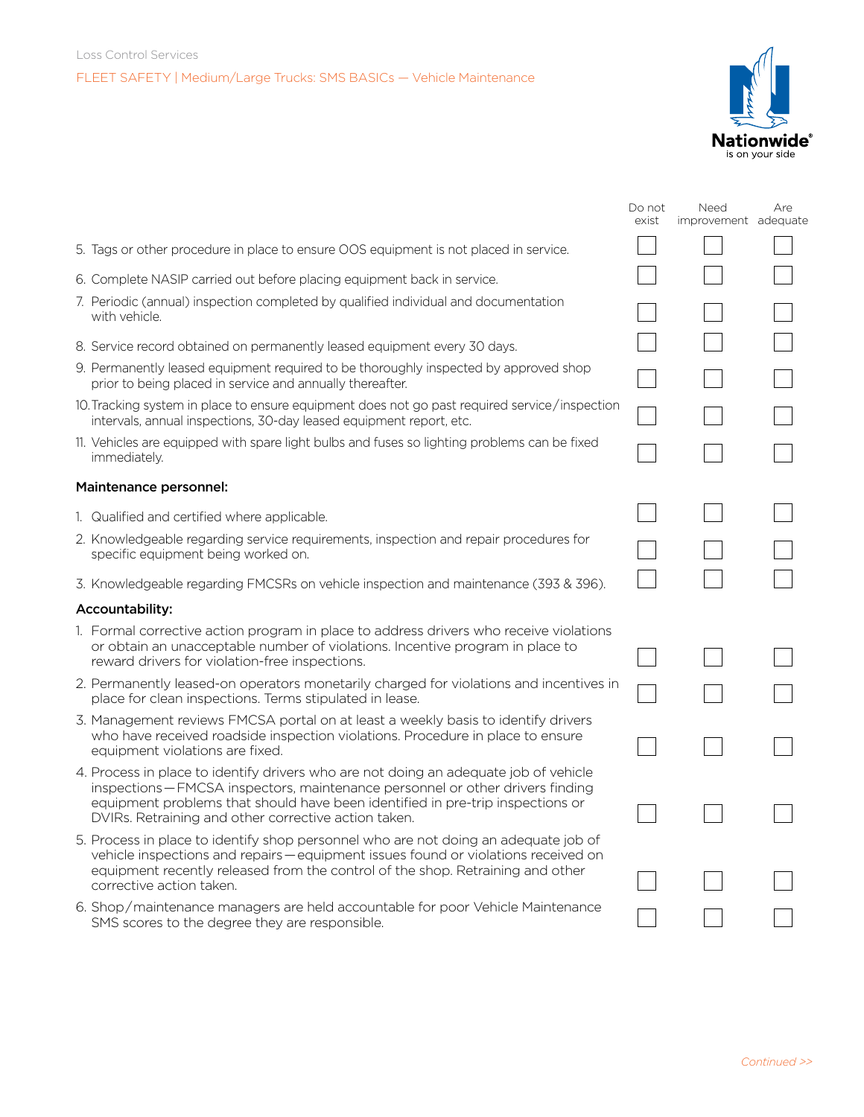

|                                                                                                                                                                                                                                                                                                                  | Do not<br>exist | Need<br>improvement adequate | Are |
|------------------------------------------------------------------------------------------------------------------------------------------------------------------------------------------------------------------------------------------------------------------------------------------------------------------|-----------------|------------------------------|-----|
| 5. Tags or other procedure in place to ensure OOS equipment is not placed in service.                                                                                                                                                                                                                            |                 |                              |     |
| 6. Complete NASIP carried out before placing equipment back in service.                                                                                                                                                                                                                                          |                 |                              |     |
| 7. Periodic (annual) inspection completed by qualified individual and documentation<br>with vehicle.                                                                                                                                                                                                             |                 |                              |     |
| 8. Service record obtained on permanently leased equipment every 30 days.                                                                                                                                                                                                                                        |                 |                              |     |
| 9. Permanently leased equipment required to be thoroughly inspected by approved shop<br>prior to being placed in service and annually thereafter.                                                                                                                                                                |                 |                              |     |
| 10. Tracking system in place to ensure equipment does not go past required service/inspection<br>intervals, annual inspections, 30-day leased equipment report, etc.                                                                                                                                             |                 |                              |     |
| 11. Vehicles are equipped with spare light bulbs and fuses so lighting problems can be fixed<br>immediately.                                                                                                                                                                                                     |                 |                              |     |
| Maintenance personnel:                                                                                                                                                                                                                                                                                           |                 |                              |     |
| 1. Qualified and certified where applicable.                                                                                                                                                                                                                                                                     |                 |                              |     |
| 2. Knowledgeable regarding service requirements, inspection and repair procedures for<br>specific equipment being worked on.                                                                                                                                                                                     |                 |                              |     |
| 3. Knowledgeable regarding FMCSRs on vehicle inspection and maintenance (393 & 396).                                                                                                                                                                                                                             |                 |                              |     |
| Accountability:                                                                                                                                                                                                                                                                                                  |                 |                              |     |
| 1. Formal corrective action program in place to address drivers who receive violations<br>or obtain an unacceptable number of violations. Incentive program in place to<br>reward drivers for violation-free inspections.                                                                                        |                 |                              |     |
| 2. Permanently leased-on operators monetarily charged for violations and incentives in<br>place for clean inspections. Terms stipulated in lease.                                                                                                                                                                |                 |                              |     |
| 3. Management reviews FMCSA portal on at least a weekly basis to identify drivers<br>who have received roadside inspection violations. Procedure in place to ensure<br>equipment violations are fixed.                                                                                                           |                 |                              |     |
| 4. Process in place to identify drivers who are not doing an adequate job of vehicle<br>inspections – FMCSA inspectors, maintenance personnel or other drivers finding<br>equipment problems that should have been identified in pre-trip inspections or<br>DVIRs. Retraining and other corrective action taken. |                 |                              |     |
| 5. Process in place to identify shop personnel who are not doing an adequate job of<br>vehicle inspections and repairs - equipment issues found or violations received on<br>equipment recently released from the control of the shop. Retraining and other<br>corrective action taken.                          |                 |                              |     |
| 6. Shop/maintenance managers are held accountable for poor Vehicle Maintenance<br>SMS scores to the degree they are responsible.                                                                                                                                                                                 |                 |                              |     |
|                                                                                                                                                                                                                                                                                                                  |                 |                              |     |